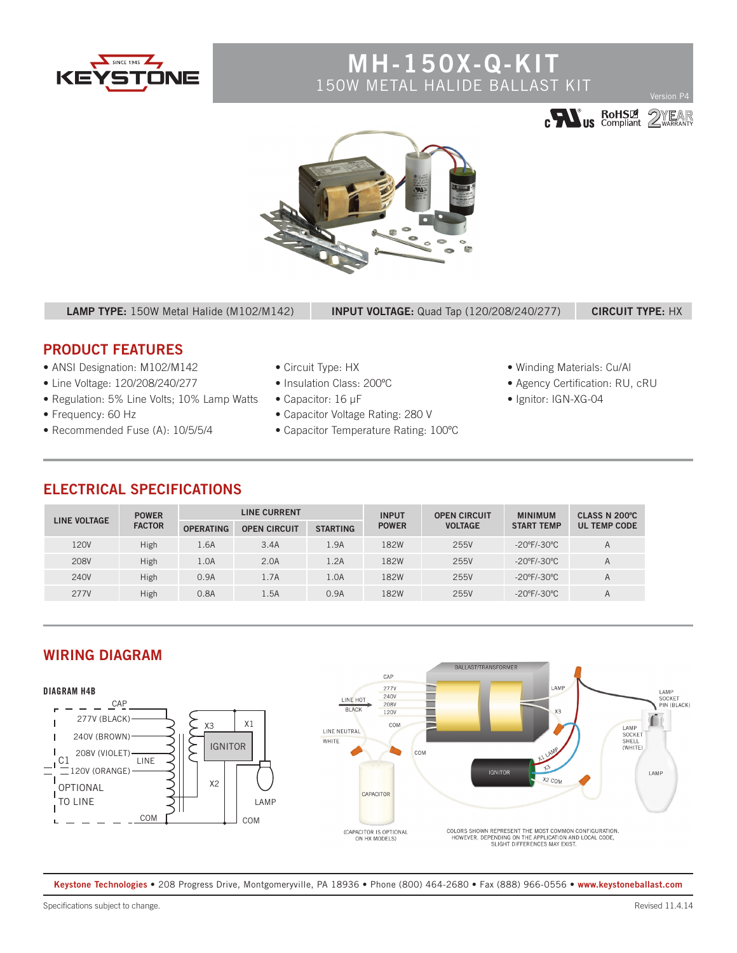

# **MH-150X-Q-KIT** 150W METAL HALIDE BALLAST KIT







**LAMP TYPE:** 150W Metal Halide (M102/M142) **INPUT VOLTAGE:** Quad Tap (120/208/240/277) **CIRCUIT TYPE:** HX

## **PRODUCT FEATURES**

- ANSI Designation: M102/M142
- Line Voltage: 120/208/240/277
- Regulation: 5% Line Volts; 10% Lamp Watts
- Frequency: 60 Hz
- Recommended Fuse (A): 10/5/5/4
- Circuit Type: HX
- Insulation Class: 200ºC
- Capacitor: 16 µF
- Capacitor Voltage Rating: 280 V
- Capacitor Temperature Rating: 100ºC
- Winding Materials: Cu/Al
- Agency Certification: RU, cRU
- Ignitor: IGN-XG-04

### **ELECTRICAL SPECIFICATIONS**

| <b>LINE VOLTAGE</b> | <b>POWER</b><br><b>FACTOR</b> | <b>LINE CURRENT</b> |                     |                 | <b>INPUT</b> | <b>OPEN CIRCUIT</b> | <b>MINIMUM</b>                   | CLASS N 200°C       |
|---------------------|-------------------------------|---------------------|---------------------|-----------------|--------------|---------------------|----------------------------------|---------------------|
|                     |                               | <b>OPERATING</b>    | <b>OPEN CIRCUIT</b> | <b>STARTING</b> | <b>POWER</b> | <b>VOLTAGE</b>      | <b>START TEMP</b>                | <b>UL TEMP CODE</b> |
| 120V                | High                          | 1.6A                | 3.4A                | 1.9A            | 182W         | 255V                | $-20^{\circ}$ F/-30 $^{\circ}$ C | A                   |
| 208V                | High                          | 1.0A                | 2.0A                | 1.2A            | 182W         | 255V                | $-20^{\circ}$ F/-30 $^{\circ}$ C | A                   |
| 240V                | High                          | 0.9A                | 1.7A                | 1.0A            | 182W         | 255V                | $-20^{\circ}$ F/-30 $^{\circ}$ C | A                   |
| 277V                | High                          | 0.8A                | 1.5A                | 0.9A            | 182W         | 255V                | $-20^{\circ}$ F/-30 $^{\circ}$ C | A                   |





**Keystone Technologies •** 208 Progress Drive, Montgomeryville, PA 18936 **•** Phone (800) 464-2680 **•** Fax (888) 966-0556 **• www.keystoneballast.com**